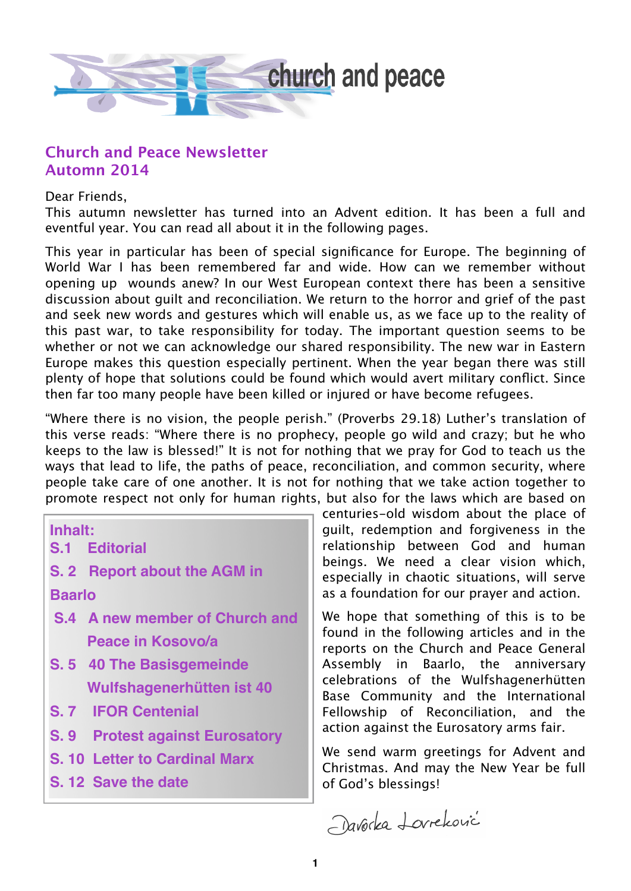

#### **Church and Peace Newsletter Automn 2014**

Dear Friends,

This autumn newsletter has turned into an Advent edition. It has been a full and eventful year. You can read all about it in the following pages.

This year in particular has been of special significance for Europe. The beginning of World War I has been remembered far and wide. How can we remember without opening up wounds anew? In our West European context there has been a sensitive discussion about guilt and reconciliation. We return to the horror and grief of the past and seek new words and gestures which will enable us, as we face up to the reality of this past war, to take responsibility for today. The important question seems to be whether or not we can acknowledge our shared responsibility. The new war in Eastern Europe makes this question especially pertinent. When the year began there was still plenty of hope that solutions could be found which would avert military conflict. Since then far too many people have been killed or injured or have become refugees.

"Where there is no vision, the people perish." (Proverbs 29.18) Luther's translation of this verse reads: "Where there is no prophecy, people go wild and crazy; but he who keeps to the law is blessed!" It is not for nothing that we pray for God to teach us the ways that lead to life, the paths of peace, reconciliation, and common security, where people take care of one another. It is not for nothing that we take action together to promote respect not only for human rights, but also for the laws which are based on

**Inhalt:**

- **S.1 Editorial**
- **S. 2 Report about the AGM in Baarlo**
- **S.4 A new member of Church and Peace in Kosovo/a**
- **S. 5 40 The Basisgemeinde Wulfshagenerhütten ist 40**
- **S. 7 IFOR Centenial**
- **S. 9 Protest against Eurosatory**
- **S. 10 Letter to Cardinal Marx**
- **S. 12 Save the date**

centuries-old wisdom about the place of guilt, redemption and forgiveness in the relationship between God and human beings. We need a clear vision which, especially in chaotic situations, will serve as a foundation for our prayer and action.

We hope that something of this is to be found in the following articles and in the reports on the Church and Peace General Assembly in Baarlo, the anniversary celebrations of the Wulfshagenerhütten Base Community and the International Fellowship of Reconciliation, and the action against the Eurosatory arms fair.

We send warm greetings for Advent and Christmas. And may the New Year be full of God's blessings!

Davorka Lovreković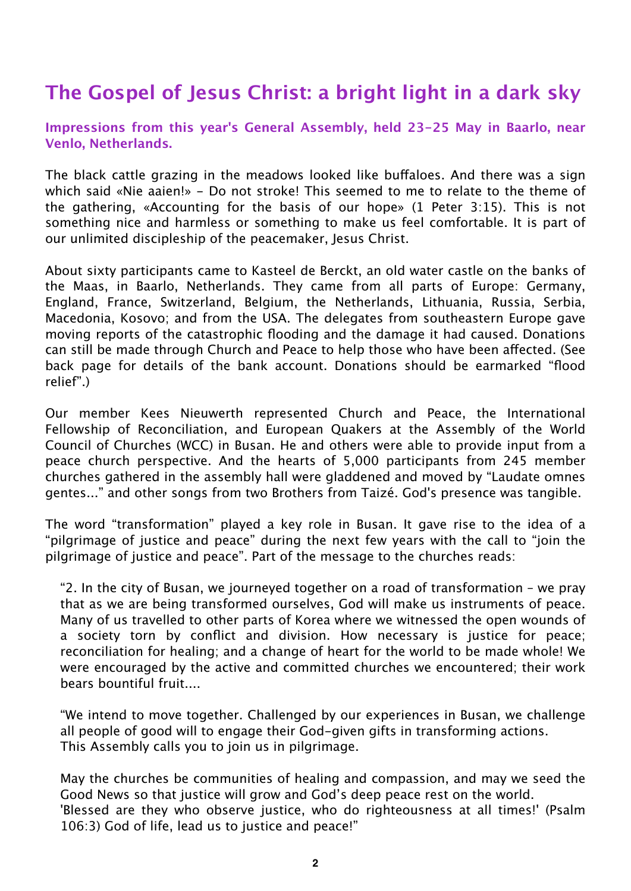# **The Gospel of Jesus Christ: a bright light in a dark sky**

**Impressions from this year's General Assembly, held 23-25 May in Baarlo, near Venlo, Netherlands.**

The black cattle grazing in the meadows looked like buffaloes. And there was a sign which said «Nie aaien!» - Do not stroke! This seemed to me to relate to the theme of the gathering, «Accounting for the basis of our hope» (1 Peter 3:15). This is not something nice and harmless or something to make us feel comfortable. It is part of our unlimited discipleship of the peacemaker, Jesus Christ.

About sixty participants came to Kasteel de Berckt, an old water castle on the banks of the Maas, in Baarlo, Netherlands. They came from all parts of Europe: Germany, England, France, Switzerland, Belgium, the Netherlands, Lithuania, Russia, Serbia, Macedonia, Kosovo; and from the USA. The delegates from southeastern Europe gave moving reports of the catastrophic flooding and the damage it had caused. Donations can still be made through Church and Peace to help those who have been affected. (See back page for details of the bank account. Donations should be earmarked "flood relief".)

Our member Kees Nieuwerth represented Church and Peace, the International Fellowship of Reconciliation, and European Quakers at the Assembly of the World Council of Churches (WCC) in Busan. He and others were able to provide input from a peace church perspective. And the hearts of 5,000 participants from 245 member churches gathered in the assembly hall were gladdened and moved by "Laudate omnes gentes..." and other songs from two Brothers from Taizé. God's presence was tangible.

The word "transformation" played a key role in Busan. It gave rise to the idea of a "pilgrimage of justice and peace" during the next few years with the call to "join the pilgrimage of justice and peace". Part of the message to the churches reads:

"2. In the city of Busan, we journeyed together on a road of transformation – we pray that as we are being transformed ourselves, God will make us instruments of peace. Many of us travelled to other parts of Korea where we witnessed the open wounds of a society torn by conflict and division. How necessary is justice for peace; reconciliation for healing; and a change of heart for the world to be made whole! We were encouraged by the active and committed churches we encountered; their work bears bountiful fruit....

"We intend to move together. Challenged by our experiences in Busan, we challenge all people of good will to engage their God-given gifts in transforming actions. This Assembly calls you to join us in pilgrimage.

May the churches be communities of healing and compassion, and may we seed the Good News so that justice will grow and God's deep peace rest on the world. 'Blessed are they who observe justice, who do righteousness at all times!' (Psalm 106:3) God of life, lead us to justice and peace!"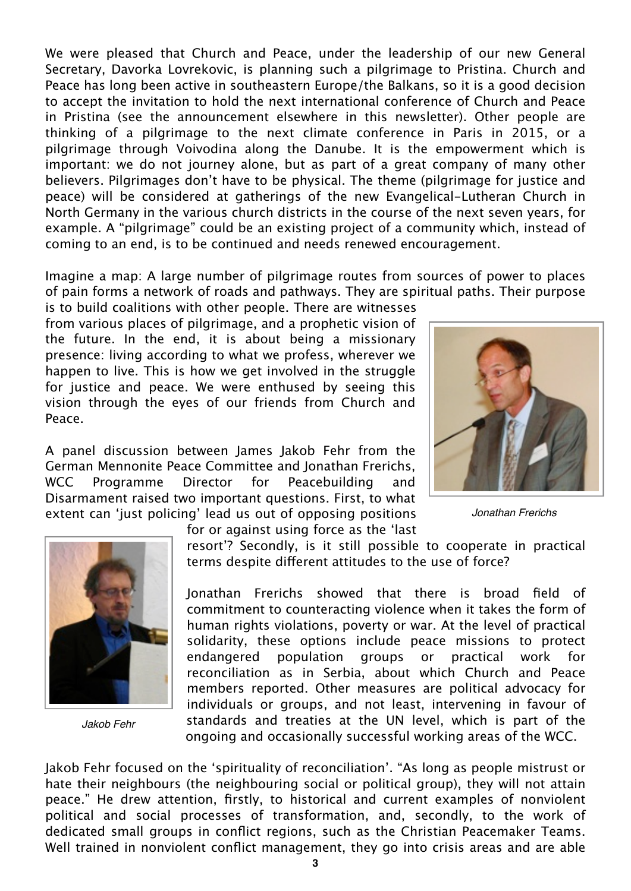We were pleased that Church and Peace, under the leadership of our new General Secretary, Davorka Lovrekovic, is planning such a pilgrimage to Pristina. Church and Peace has long been active in southeastern Europe/the Balkans, so it is a good decision to accept the invitation to hold the next international conference of Church and Peace in Pristina (see the announcement elsewhere in this newsletter). Other people are thinking of a pilgrimage to the next climate conference in Paris in 2015, or a pilgrimage through Voivodina along the Danube. It is the empowerment which is important: we do not journey alone, but as part of a great company of many other believers. Pilgrimages don't have to be physical. The theme (pilgrimage for justice and peace) will be considered at gatherings of the new Evangelical-Lutheran Church in North Germany in the various church districts in the course of the next seven years, for example. A "pilgrimage" could be an existing project of a community which, instead of coming to an end, is to be continued and needs renewed encouragement.

Imagine a map: A large number of pilgrimage routes from sources of power to places of pain forms a network of roads and pathways. They are spiritual paths. Their purpose

for or against using force as the 'last

is to build coalitions with other people. There are witnesses from various places of pilgrimage, and a prophetic vision of the future. In the end, it is about being a missionary presence: living according to what we profess, wherever we happen to live. This is how we get involved in the struggle for justice and peace. We were enthused by seeing this vision through the eyes of our friends from Church and Peace.

A panel discussion between James Jakob Fehr from the German Mennonite Peace Committee and Jonathan Frerichs, WCC Programme Director for Peacebuilding and Disarmament raised two important questions. First, to what extent can 'just policing' lead us out of opposing positions



*Jonathan Frerichs*



*Jakob Fehr*

resort'? Secondly, is it still possible to cooperate in practical terms despite different attitudes to the use of force?

Jonathan Frerichs showed that there is broad field of commitment to counteracting violence when it takes the form of human rights violations, poverty or war. At the level of practical solidarity, these options include peace missions to protect endangered population groups or practical work for reconciliation as in Serbia, about which Church and Peace members reported. Other measures are political advocacy for individuals or groups, and not least, intervening in favour of standards and treaties at the UN level, which is part of the ongoing and occasionally successful working areas of the WCC.

Jakob Fehr focused on the 'spirituality of reconciliation'. "As long as people mistrust or hate their neighbours (the neighbouring social or political group), they will not attain peace." He drew attention, firstly, to historical and current examples of nonviolent political and social processes of transformation, and, secondly, to the work of dedicated small groups in conflict regions, such as the Christian Peacemaker Teams. Well trained in nonviolent conflict management, they go into crisis areas and are able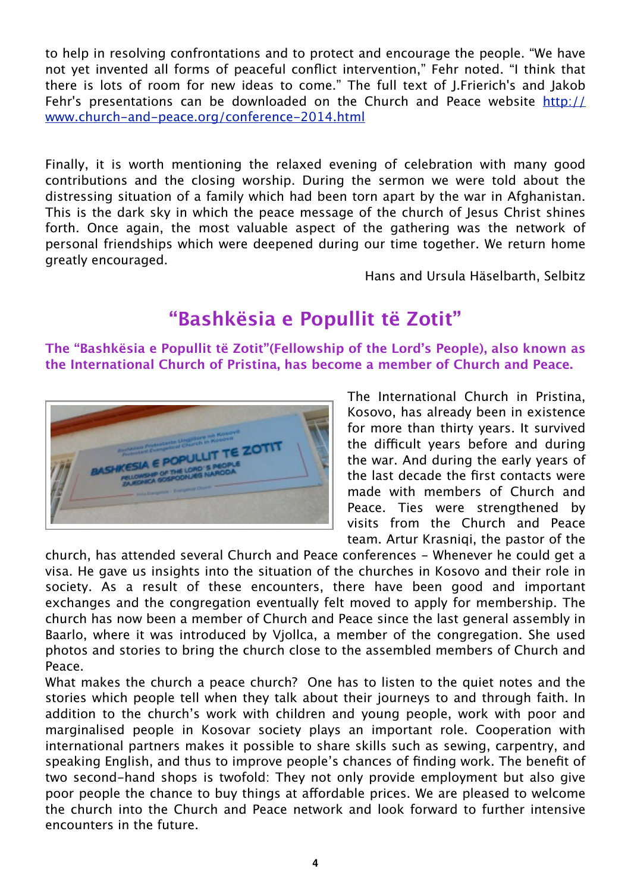to help in resolving confrontations and to protect and encourage the people. "We have not yet invented all forms of peaceful conflict intervention," Fehr noted. "I think that there is lots of room for new ideas to come." The full text of J.Frierich's and Jakob Fehr's presentations can be downloaded on the Church and Peace website [http://](http://www.church-and-peace.org/conference-2014.html) [www.church-and-peace.org/conference-2014.html](http://www.church-and-peace.org/conference-2014.html)

Finally, it is worth mentioning the relaxed evening of celebration with many good contributions and the closing worship. During the sermon we were told about the distressing situation of a family which had been torn apart by the war in Afghanistan. This is the dark sky in which the peace message of the church of Jesus Christ shines forth. Once again, the most valuable aspect of the gathering was the network of personal friendships which were deepened during our time together. We return home greatly encouraged.

Hans and Ursula Häselbarth, Selbitz

# **"Bashkësia e Popullit të Zotit"**

**The "Bashkësia e Popullit të Zotit"(Fellowship of the Lord's People), also known as the International Church of Pristina, has become a member of Church and Peace.**



The International Church in Pristina, Kosovo, has already been in existence for more than thirty years. It survived the difficult years before and during the war. And during the early years of the last decade the first contacts were made with members of Church and Peace. Ties were strengthened by visits from the Church and Peace team. Artur Krasniqi, the pastor of the

church, has attended several Church and Peace conferences - Whenever he could get a visa. He gave us insights into the situation of the churches in Kosovo and their role in society. As a result of these encounters, there have been good and important exchanges and the congregation eventually felt moved to apply for membership. The church has now been a member of Church and Peace since the last general assembly in Baarlo, where it was introduced by Vjollca, a member of the congregation. She used photos and stories to bring the church close to the assembled members of Church and Peace.

What makes the church a peace church? One has to listen to the quiet notes and the stories which people tell when they talk about their journeys to and through faith. In addition to the church's work with children and young people, work with poor and marginalised people in Kosovar society plays an important role. Cooperation with international partners makes it possible to share skills such as sewing, carpentry, and speaking English, and thus to improve people's chances of finding work. The benefit of two second-hand shops is twofold: They not only provide employment but also give poor people the chance to buy things at affordable prices. We are pleased to welcome the church into the Church and Peace network and look forward to further intensive encounters in the future.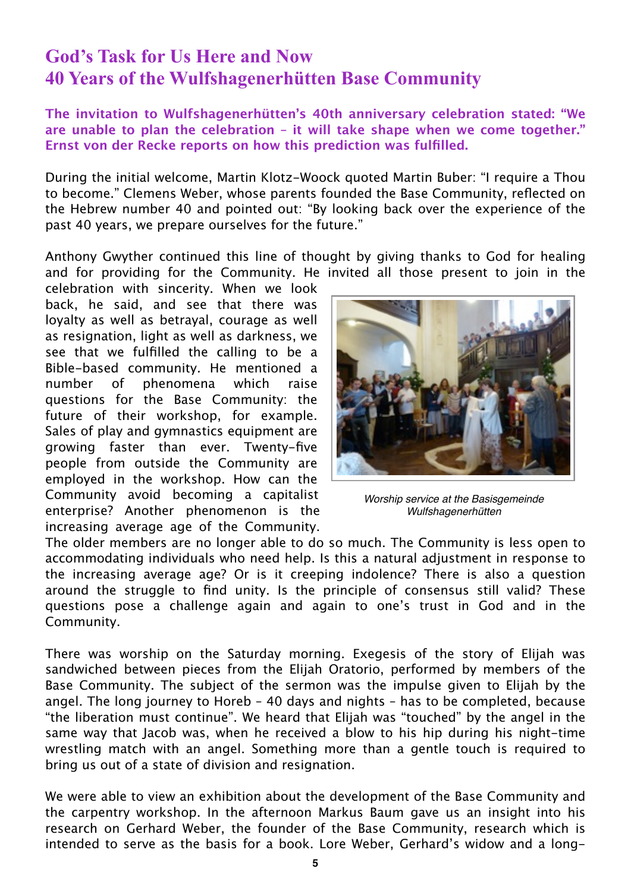#### **God's Task for Us Here and Now 40 Years of the Wulfshagenerhütten Base Community**

**The invitation to Wulfshagenerhütten's 40th anniversary celebration stated: "We are unable to plan the celebration – it will take shape when we come together." Ernst von der Recke reports on how this prediction was fulfilled.**

During the initial welcome, Martin Klotz-Woock quoted Martin Buber: "I require a Thou to become." Clemens Weber, whose parents founded the Base Community, reflected on the Hebrew number 40 and pointed out: "By looking back over the experience of the past 40 years, we prepare ourselves for the future."

Anthony Gwyther continued this line of thought by giving thanks to God for healing and for providing for the Community. He invited all those present to join in the

celebration with sincerity. When we look back, he said, and see that there was loyalty as well as betrayal, courage as well as resignation, light as well as darkness, we see that we fulfilled the calling to be a Bible-based community. He mentioned a number of phenomena which raise questions for the Base Community: the future of their workshop, for example. Sales of play and gymnastics equipment are growing faster than ever. Twenty-five people from outside the Community are employed in the workshop. How can the Community avoid becoming a capitalist enterprise? Another phenomenon is the increasing average age of the Community.



*Worship service at the Basisgemeinde Wulfshagenerhütten*

The older members are no longer able to do so much. The Community is less open to accommodating individuals who need help. Is this a natural adjustment in response to the increasing average age? Or is it creeping indolence? There is also a question around the struggle to find unity. Is the principle of consensus still valid? These questions pose a challenge again and again to one's trust in God and in the Community.

There was worship on the Saturday morning. Exegesis of the story of Elijah was sandwiched between pieces from the Elijah Oratorio, performed by members of the Base Community. The subject of the sermon was the impulse given to Elijah by the angel. The long journey to Horeb – 40 days and nights – has to be completed, because "the liberation must continue". We heard that Elijah was "touched" by the angel in the same way that Jacob was, when he received a blow to his hip during his night-time wrestling match with an angel. Something more than a gentle touch is required to bring us out of a state of division and resignation.

We were able to view an exhibition about the development of the Base Community and the carpentry workshop. In the afternoon Markus Baum gave us an insight into his research on Gerhard Weber, the founder of the Base Community, research which is intended to serve as the basis for a book. Lore Weber, Gerhard's widow and a long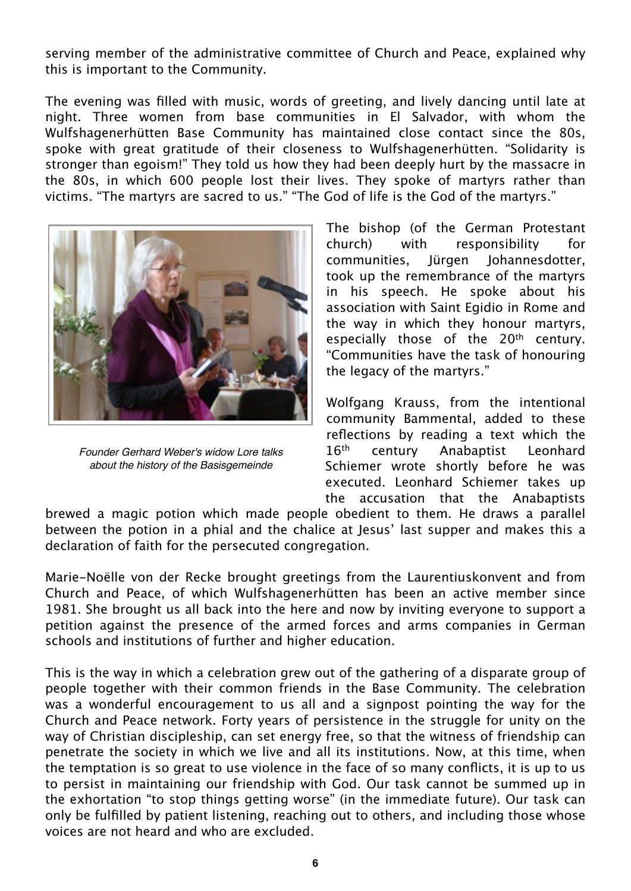serving member of the administrative committee of Church and Peace, explained why this is important to the Community.

The evening was filled with music, words of greeting, and lively dancing until late at night. Three women from base communities in El Salvador, with whom the Wulfshagenerhütten Base Community has maintained close contact since the 80s, spoke with great gratitude of their closeness to Wulfshagenerhütten. "Solidarity is stronger than egoism!" They told us how they had been deeply hurt by the massacre in the 80s, in which 600 people lost their lives. They spoke of martyrs rather than victims. "The martyrs are sacred to us." "The God of life is the God of the martyrs."



*Founder Gerhard Weber's widow Lore talks about the history of the Basisgemeinde*

The bishop (of the German Protestant church) with responsibility for communities, Jürgen Johannesdotter, took up the remembrance of the martyrs in his speech. He spoke about his association with Saint Egidio in Rome and the way in which they honour martyrs, especially those of the 20<sup>th</sup> centurv. "Communities have the task of honouring the legacy of the martyrs."

Wolfgang Krauss, from the intentional community Bammental, added to these reflections by reading a text which the 16<sup>th</sup> century Anabaptist Leonhard Schiemer wrote shortly before he was executed. Leonhard Schiemer takes up the accusation that the Anabaptists

brewed a magic potion which made people obedient to them. He draws a parallel between the potion in a phial and the chalice at Jesus' last supper and makes this a declaration of faith for the persecuted congregation.

Marie-Noëlle von der Recke brought greetings from the Laurentiuskonvent and from Church and Peace, of which Wulfshagenerhütten has been an active member since 1981. She brought us all back into the here and now by inviting everyone to support a petition against the presence of the armed forces and arms companies in German schools and institutions of further and higher education.

This is the way in which a celebration grew out of the gathering of a disparate group of people together with their common friends in the Base Community. The celebration was a wonderful encouragement to us all and a signpost pointing the way for the Church and Peace network. Forty years of persistence in the struggle for unity on the way of Christian discipleship, can set energy free, so that the witness of friendship can penetrate the society in which we live and all its institutions. Now, at this time, when the temptation is so great to use violence in the face of so many conflicts, it is up to us to persist in maintaining our friendship with God. Our task cannot be summed up in the exhortation "to stop things getting worse" (in the immediate future). Our task can only be fulfilled by patient listening, reaching out to others, and including those whose voices are not heard and who are excluded.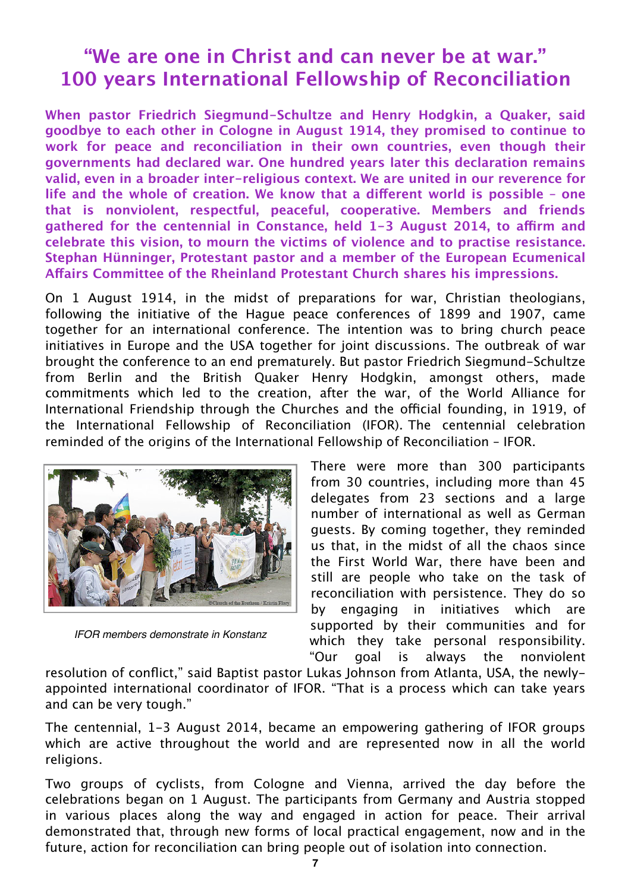### **"We are one in Christ and can never be at war." 100 years International Fellowship of Reconciliation**

**When pastor Friedrich Siegmund-Schultze and Henry Hodgkin, a Quaker, said goodbye to each other in Cologne in August 1914, they promised to continue to work for peace and reconciliation in their own countries, even though their governments had declared war. One hundred years later this declaration remains valid, even in a broader inter-religious context. We are united in our reverence for**  life and the whole of creation. We know that a different world is possible - one **that is nonviolent, respectful, peaceful, cooperative. Members and friends gathered for the centennial in Constance, held 1-3 August 2014, to a"rm and celebrate this vision, to mourn the victims of violence and to practise resistance. Stephan Hünninger, Protestant pastor and a member of the European Ecumenical A!airs Committee of the Rheinland Protestant Church shares his impressions.**

On 1 August 1914, in the midst of preparations for war, Christian theologians, following the initiative of the Hague peace conferences of 1899 and 1907, came together for an international conference. The intention was to bring church peace initiatives in Europe and the USA together for joint discussions. The outbreak of war brought the conference to an end prematurely. But pastor Friedrich Siegmund-Schultze from Berlin and the British Quaker Henry Hodgkin, amongst others, made commitments which led to the creation, after the war, of the World Alliance for International Friendship through the Churches and the official founding, in 1919, of the International Fellowship of Reconciliation (IFOR). The centennial celebration reminded of the origins of the International Fellowship of Reconciliation – IFOR.



*IFOR members demonstrate in Konstanz*

There were more than 300 participants from 30 countries, including more than 45 delegates from 23 sections and a large number of international as well as German guests. By coming together, they reminded us that, in the midst of all the chaos since the First World War, there have been and still are people who take on the task of reconciliation with persistence. They do so by engaging in initiatives which are supported by their communities and for which they take personal responsibility. "Our goal is always the nonviolent

resolution of conflict," said Baptist pastor Lukas Johnson from Atlanta, USA, the newlyappointed international coordinator of IFOR. "That is a process which can take years and can be very tough."

The centennial, 1-3 August 2014, became an empowering gathering of IFOR groups which are active throughout the world and are represented now in all the world religions.

Two groups of cyclists, from Cologne and Vienna, arrived the day before the celebrations began on 1 August. The participants from Germany and Austria stopped in various places along the way and engaged in action for peace. Their arrival demonstrated that, through new forms of local practical engagement, now and in the future, action for reconciliation can bring people out of isolation into connection.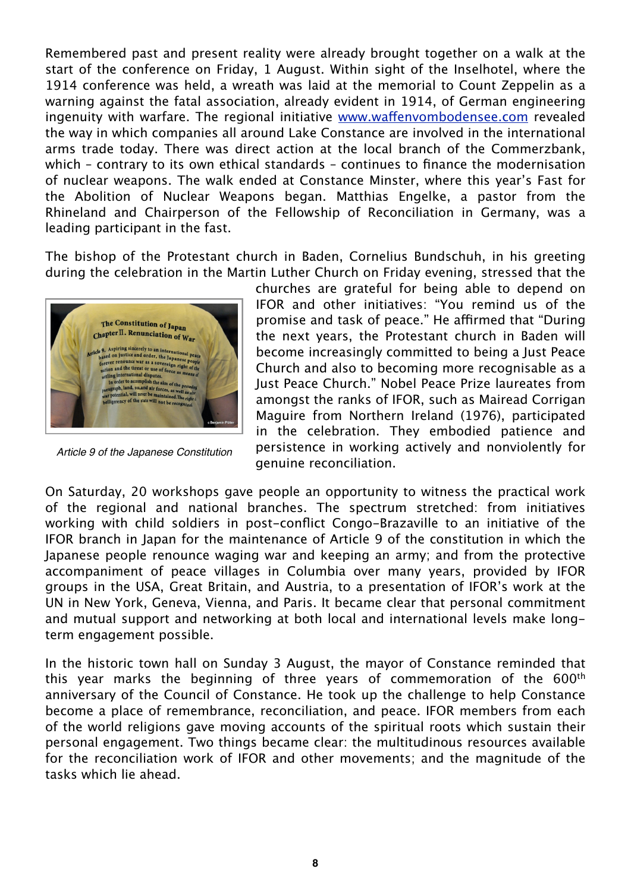Remembered past and present reality were already brought together on a walk at the start of the conference on Friday, 1 August. Within sight of the Inselhotel, where the 1914 conference was held, a wreath was laid at the memorial to Count Zeppelin as a warning against the fatal association, already evident in 1914, of German engineering ingenuity with warfare. The regional initiative www.waff[envombodensee.com](http://www.waffenvombodensee.com) revealed the way in which companies all around Lake Constance are involved in the international arms trade today. There was direct action at the local branch of the Commerzbank, which – contrary to its own ethical standards – continues to finance the modernisation of nuclear weapons. The walk ended at Constance Minster, where this year's Fast for the Abolition of Nuclear Weapons began. Matthias Engelke, a pastor from the Rhineland and Chairperson of the Fellowship of Reconciliation in Germany, was a leading participant in the fast.

The bishop of the Protestant church in Baden, Cornelius Bundschuh, in his greeting during the celebration in the Martin Luther Church on Friday evening, stressed that the



*Article 9 of the Japanese Constitution*

churches are grateful for being able to depend on IFOR and other initiatives: "You remind us of the promise and task of peace." He affirmed that "During the next years, the Protestant church in Baden will become increasingly committed to being a Just Peace Church and also to becoming more recognisable as a Just Peace Church." Nobel Peace Prize laureates from amongst the ranks of IFOR, such as Mairead Corrigan Maguire from Northern Ireland (1976), participated in the celebration. They embodied patience and persistence in working actively and nonviolently for genuine reconciliation.

On Saturday, 20 workshops gave people an opportunity to witness the practical work of the regional and national branches. The spectrum stretched: from initiatives working with child soldiers in post-conflict Congo-Brazaville to an initiative of the IFOR branch in Japan for the maintenance of Article 9 of the constitution in which the Japanese people renounce waging war and keeping an army; and from the protective accompaniment of peace villages in Columbia over many years, provided by IFOR groups in the USA, Great Britain, and Austria, to a presentation of IFOR's work at the UN in New York, Geneva, Vienna, and Paris. It became clear that personal commitment and mutual support and networking at both local and international levels make longterm engagement possible.

In the historic town hall on Sunday 3 August, the mayor of Constance reminded that this year marks the beginning of three years of commemoration of the 600th anniversary of the Council of Constance. He took up the challenge to help Constance become a place of remembrance, reconciliation, and peace. IFOR members from each of the world religions gave moving accounts of the spiritual roots which sustain their personal engagement. Two things became clear: the multitudinous resources available for the reconciliation work of IFOR and other movements; and the magnitude of the tasks which lie ahead.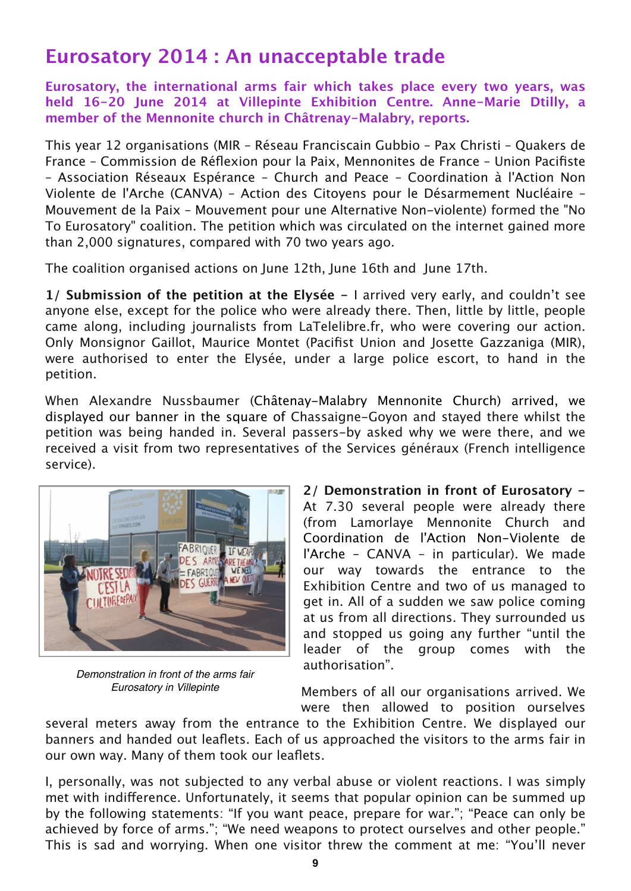## **Eurosatory 2014 : An unacceptable trade**

**Eurosatory, the international arms fair which takes place every two years, was held 16-20 June 2014 at Villepinte Exhibition Centre. Anne-Marie Dtilly, a member of the Mennonite church in Châtrenay-Malabry, reports.**

This year 12 organisations (MIR – Réseau Franciscain Gubbio – Pax Christi – Quakers de France – Commission de Réflexion pour la Paix, Mennonites de France – Union Pacifiste – Association Réseaux Espérance – Church and Peace – Coordination à l'Action Non Violente de l'Arche (CANVA) – Action des Citoyens pour le Désarmement Nucléaire – Mouvement de la Paix – Mouvement pour une Alternative Non-violente) formed the "No To Eurosatory" coalition. The petition which was circulated on the internet gained more than 2,000 signatures, compared with 70 two years ago.

The coalition organised actions on June 12th, June 16th and June 17th.

**1/ Submission of the petition at the Elysée -** I arrived very early, and couldn't see anyone else, except for the police who were already there. Then, little by little, people came along, including journalists from LaTelelibre.fr, who were covering our action. Only Monsignor Gaillot, Maurice Montet (Pacifist Union and Josette Gazzaniga (MIR), were authorised to enter the Elysée, under a large police escort, to hand in the petition.

When Alexandre Nussbaumer (Châtenay-Malabry Mennonite Church) arrived, we displayed our banner in the square of Chassaigne-Goyon and stayed there whilst the petition was being handed in. Several passers-by asked why we were there, and we received a visit from two representatives of the Services généraux (French intelligence service).



*Demonstration in front of the arms fair Eurosatory in Villepinte*

**2/ Demonstration in front of Eurosatory -**  At 7.30 several people were already there (from Lamorlaye Mennonite Church and Coordination de l'Action Non-Violente de l'Arche – CANVA – in particular). We made our way towards the entrance to the Exhibition Centre and two of us managed to get in. All of a sudden we saw police coming at us from all directions. They surrounded us and stopped us going any further "until the leader of the group comes with the authorisation".

Members of all our organisations arrived. We were then allowed to position ourselves

several meters away from the entrance to the Exhibition Centre. We displayed our banners and handed out leaflets. Each of us approached the visitors to the arms fair in our own way. Many of them took our leaflets.

I, personally, was not subjected to any verbal abuse or violent reactions. I was simply met with indifference. Unfortunately, it seems that popular opinion can be summed up by the following statements: "If you want peace, prepare for war."; "Peace can only be achieved by force of arms."; "We need weapons to protect ourselves and other people." This is sad and worrying. When one visitor threw the comment at me: "You'll never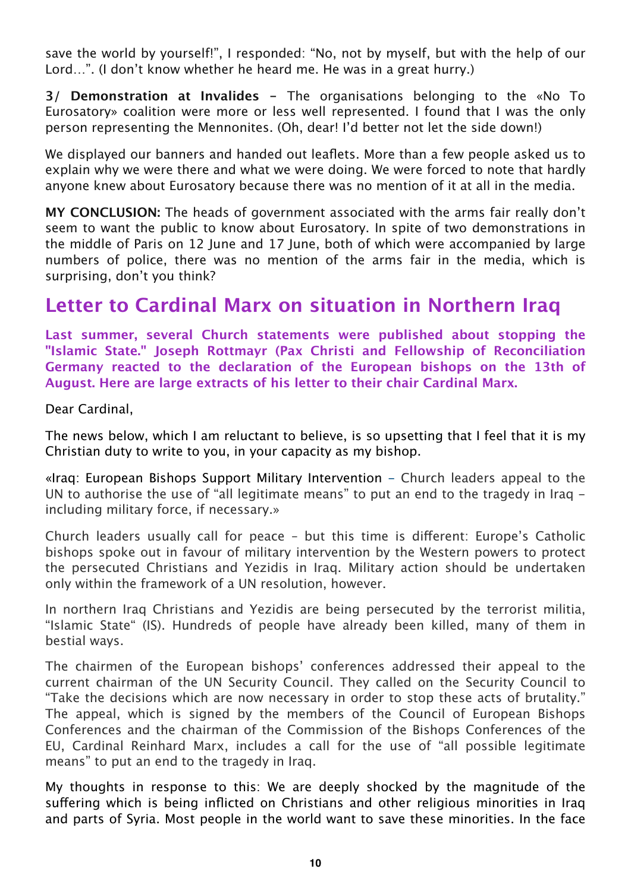save the world by yourself!", I responded: "No, not by myself, but with the help of our Lord…". (I don't know whether he heard me. He was in a great hurry.)

**3/ Demonstration at Invalides -** The organisations belonging to the «No To Eurosatory» coalition were more or less well represented. I found that I was the only person representing the Mennonites. (Oh, dear! I'd better not let the side down!)

We displayed our banners and handed out leaflets. More than a few people asked us to explain why we were there and what we were doing. We were forced to note that hardly anyone knew about Eurosatory because there was no mention of it at all in the media.

**MY CONCLUSION:** The heads of government associated with the arms fair really don't seem to want the public to know about Eurosatory. In spite of two demonstrations in the middle of Paris on 12 June and 17 June, both of which were accompanied by large numbers of police, there was no mention of the arms fair in the media, which is surprising, don't you think?

### **Letter to Cardinal Marx on situation in Northern Iraq**

**Last summer, several Church statements were published about stopping the "Islamic State." Joseph Rottmayr (Pax Christi and Fellowship of Reconciliation Germany reacted to the declaration of the European bishops on the 13th of August. Here are large extracts of his letter to their chair Cardinal Marx.**

Dear Cardinal,

The news below, which I am reluctant to believe, is so upsetting that I feel that it is my Christian duty to write to you, in your capacity as my bishop.

«Iraq: European Bishops Support Military Intervention - Church leaders appeal to the UN to authorise the use of "all legitimate means" to put an end to the tragedy in Iraq including military force, if necessary.»

Church leaders usually call for peace  $-$  but this time is different: Europe's Catholic bishops spoke out in favour of military intervention by the Western powers to protect the persecuted Christians and Yezidis in Iraq. Military action should be undertaken only within the framework of a UN resolution, however.

In northern Iraq Christians and Yezidis are being persecuted by the terrorist militia, "Islamic State" (IS). Hundreds of people have already been killed, many of them in bestial ways.

The chairmen of the European bishops' conferences addressed their appeal to the current chairman of the UN Security Council. They called on the Security Council to "Take the decisions which are now necessary in order to stop these acts of brutality." The appeal, which is signed by the members of the Council of European Bishops Conferences and the chairman of the Commission of the Bishops Conferences of the EU, Cardinal Reinhard Marx, includes a call for the use of "all possible legitimate means" to put an end to the tragedy in Iraq.

My thoughts in response to this: We are deeply shocked by the magnitude of the suffering which is being inflicted on Christians and other religious minorities in Iraq and parts of Syria. Most people in the world want to save these minorities. In the face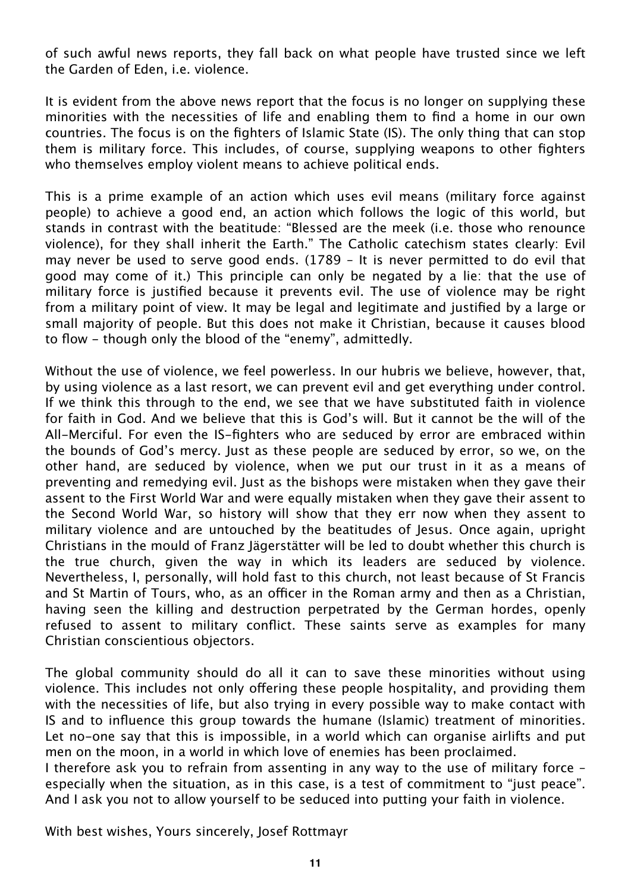of such awful news reports, they fall back on what people have trusted since we left the Garden of Eden, i.e. violence.

It is evident from the above news report that the focus is no longer on supplying these minorities with the necessities of life and enabling them to find a home in our own countries. The focus is on the fighters of Islamic State (IS). The only thing that can stop them is military force. This includes, of course, supplying weapons to other fighters who themselves employ violent means to achieve political ends.

This is a prime example of an action which uses evil means (military force against people) to achieve a good end, an action which follows the logic of this world, but stands in contrast with the beatitude: "Blessed are the meek (i.e. those who renounce violence), for they shall inherit the Earth." The Catholic catechism states clearly: Evil may never be used to serve good ends. (1789 – It is never permitted to do evil that good may come of it.) This principle can only be negated by a lie: that the use of military force is justified because it prevents evil. The use of violence may be right from a military point of view. It may be legal and legitimate and justified by a large or small majority of people. But this does not make it Christian, because it causes blood to flow - though only the blood of the "enemy", admittedly.

Without the use of violence, we feel powerless. In our hubris we believe, however, that, by using violence as a last resort, we can prevent evil and get everything under control. If we think this through to the end, we see that we have substituted faith in violence for faith in God. And we believe that this is God's will. But it cannot be the will of the All-Merciful. For even the IS-fighters who are seduced by error are embraced within the bounds of God's mercy. Just as these people are seduced by error, so we, on the other hand, are seduced by violence, when we put our trust in it as a means of preventing and remedying evil. Just as the bishops were mistaken when they gave their assent to the First World War and were equally mistaken when they gave their assent to the Second World War, so history will show that they err now when they assent to military violence and are untouched by the beatitudes of Jesus. Once again, upright Christians in the mould of Franz Jägerstätter will be led to doubt whether this church is the true church, given the way in which its leaders are seduced by violence. Nevertheless, I, personally, will hold fast to this church, not least because of St Francis and St Martin of Tours, who, as an officer in the Roman army and then as a Christian, having seen the killing and destruction perpetrated by the German hordes, openly refused to assent to military conflict. These saints serve as examples for many Christian conscientious objectors.

The global community should do all it can to save these minorities without using violence. This includes not only offering these people hospitality, and providing them with the necessities of life, but also trying in every possible way to make contact with IS and to influence this group towards the humane (Islamic) treatment of minorities. Let no-one say that this is impossible, in a world which can organise airlifts and put men on the moon, in a world in which love of enemies has been proclaimed.

I therefore ask you to refrain from assenting in any way to the use of military force – especially when the situation, as in this case, is a test of commitment to "just peace". And I ask you not to allow yourself to be seduced into putting your faith in violence.

With best wishes, Yours sincerely, Josef Rottmayr